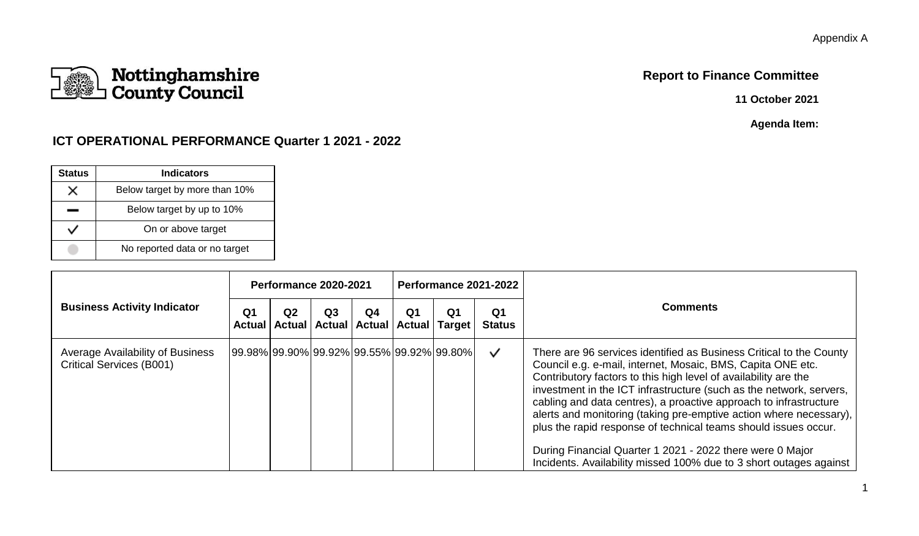## **Report to Finance Committee**

**11 October 2021**

**Agenda Item:**

## **ICT OPERATIONAL PERFORMANCE Quarter 1 2021 - 2022**

| <b>Status</b> | <b>Indicators</b>             |
|---------------|-------------------------------|
| x             | Below target by more than 10% |
|               | Below target by up to 10%     |
|               | On or above target            |
|               | No reported data or no target |

|                                                                            |                | Performance 2020-2021                                                 |                |    |    |    | Performance 2021-2022 | <b>Comments</b>                                                                                                                                                                                                                                                                                                                                                                                                                                                                                                                                                                                                               |
|----------------------------------------------------------------------------|----------------|-----------------------------------------------------------------------|----------------|----|----|----|-----------------------|-------------------------------------------------------------------------------------------------------------------------------------------------------------------------------------------------------------------------------------------------------------------------------------------------------------------------------------------------------------------------------------------------------------------------------------------------------------------------------------------------------------------------------------------------------------------------------------------------------------------------------|
| <b>Business Activity Indicator</b>                                         | Q <sub>1</sub> | Q <sub>2</sub><br>Actual   Actual   Actual   Actual   Actual   Target | Q <sub>3</sub> | Q4 | Q1 | Q1 | Q1<br><b>Status</b>   |                                                                                                                                                                                                                                                                                                                                                                                                                                                                                                                                                                                                                               |
| <b>Average Availability of Business</b><br><b>Critical Services (B001)</b> |                | 99.98% 99.90% 99.92% 99.55% 99.92% 99.80%                             |                |    |    |    | $\checkmark$          | There are 96 services identified as Business Critical to the County<br>Council e.g. e-mail, internet, Mosaic, BMS, Capita ONE etc.<br>Contributory factors to this high level of availability are the<br>investment in the ICT infrastructure (such as the network, servers,<br>cabling and data centres), a proactive approach to infrastructure<br>alerts and monitoring (taking pre-emptive action where necessary),<br>plus the rapid response of technical teams should issues occur.<br>During Financial Quarter 1 2021 - 2022 there were 0 Major<br>Incidents. Availability missed 100% due to 3 short outages against |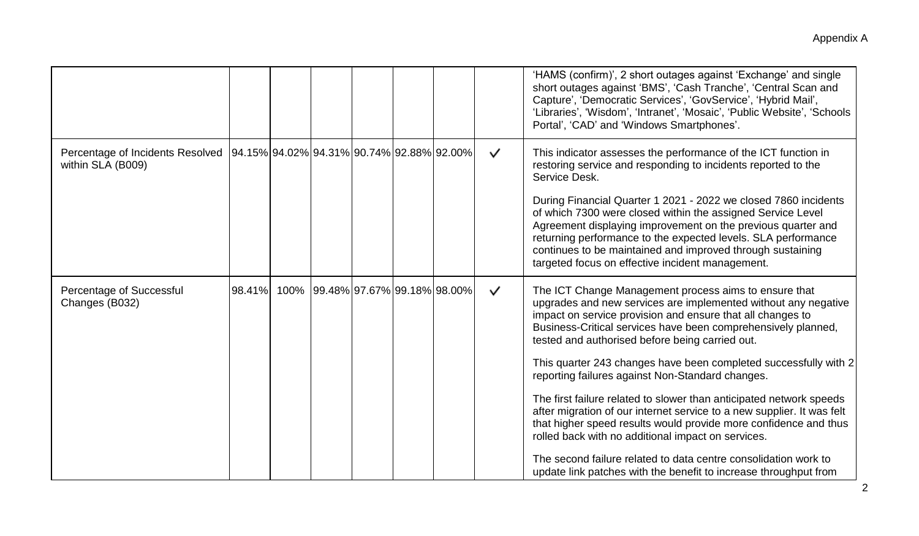|                                                       |        |      |                                           |  |                             |              | 'HAMS (confirm)', 2 short outages against 'Exchange' and single<br>short outages against 'BMS', 'Cash Tranche', 'Central Scan and<br>Capture', 'Democratic Services', 'GovService', 'Hybrid Mail',<br>'Libraries', 'Wisdom', 'Intranet', 'Mosaic', 'Public Website', 'Schools<br>Portal', 'CAD' and 'Windows Smartphones'.                                                                                                                                                                                                                                                                                                                                                                                                                                                                                                                          |
|-------------------------------------------------------|--------|------|-------------------------------------------|--|-----------------------------|--------------|-----------------------------------------------------------------------------------------------------------------------------------------------------------------------------------------------------------------------------------------------------------------------------------------------------------------------------------------------------------------------------------------------------------------------------------------------------------------------------------------------------------------------------------------------------------------------------------------------------------------------------------------------------------------------------------------------------------------------------------------------------------------------------------------------------------------------------------------------------|
| Percentage of Incidents Resolved<br>within SLA (B009) |        |      | 94.15% 94.02% 94.31% 90.74% 92.88% 92.00% |  |                             | $\checkmark$ | This indicator assesses the performance of the ICT function in<br>restoring service and responding to incidents reported to the<br>Service Desk.<br>During Financial Quarter 1 2021 - 2022 we closed 7860 incidents<br>of which 7300 were closed within the assigned Service Level<br>Agreement displaying improvement on the previous quarter and<br>returning performance to the expected levels. SLA performance<br>continues to be maintained and improved through sustaining<br>targeted focus on effective incident management.                                                                                                                                                                                                                                                                                                               |
| Percentage of Successful<br>Changes (B032)            | 98.41% | 100% |                                           |  | 99.48% 97.67% 99.18% 98.00% | $\checkmark$ | The ICT Change Management process aims to ensure that<br>upgrades and new services are implemented without any negative<br>impact on service provision and ensure that all changes to<br>Business-Critical services have been comprehensively planned,<br>tested and authorised before being carried out.<br>This quarter 243 changes have been completed successfully with 2<br>reporting failures against Non-Standard changes.<br>The first failure related to slower than anticipated network speeds<br>after migration of our internet service to a new supplier. It was felt<br>that higher speed results would provide more confidence and thus<br>rolled back with no additional impact on services.<br>The second failure related to data centre consolidation work to<br>update link patches with the benefit to increase throughput from |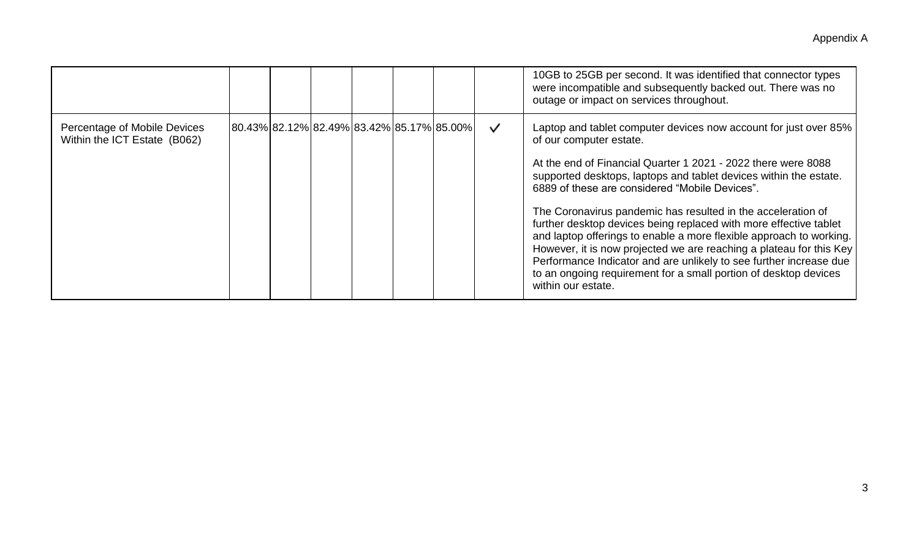|                                                              |                                           |  |  |              | 10GB to 25GB per second. It was identified that connector types<br>were incompatible and subsequently backed out. There was no<br>outage or impact on services throughout.                                                                                                                                                                                                                                                                                                                                                                                                                                                                                                                                                             |
|--------------------------------------------------------------|-------------------------------------------|--|--|--------------|----------------------------------------------------------------------------------------------------------------------------------------------------------------------------------------------------------------------------------------------------------------------------------------------------------------------------------------------------------------------------------------------------------------------------------------------------------------------------------------------------------------------------------------------------------------------------------------------------------------------------------------------------------------------------------------------------------------------------------------|
| Percentage of Mobile Devices<br>Within the ICT Estate (B062) | 80.43% 82.12% 82.49% 83.42% 85.17% 85.00% |  |  | $\checkmark$ | Laptop and tablet computer devices now account for just over 85%<br>of our computer estate.<br>At the end of Financial Quarter 1 2021 - 2022 there were 8088<br>supported desktops, laptops and tablet devices within the estate.<br>6889 of these are considered "Mobile Devices".<br>The Coronavirus pandemic has resulted in the acceleration of<br>further desktop devices being replaced with more effective tablet<br>and laptop offerings to enable a more flexible approach to working.<br>However, it is now projected we are reaching a plateau for this Key<br>Performance Indicator and are unlikely to see further increase due<br>to an ongoing requirement for a small portion of desktop devices<br>within our estate. |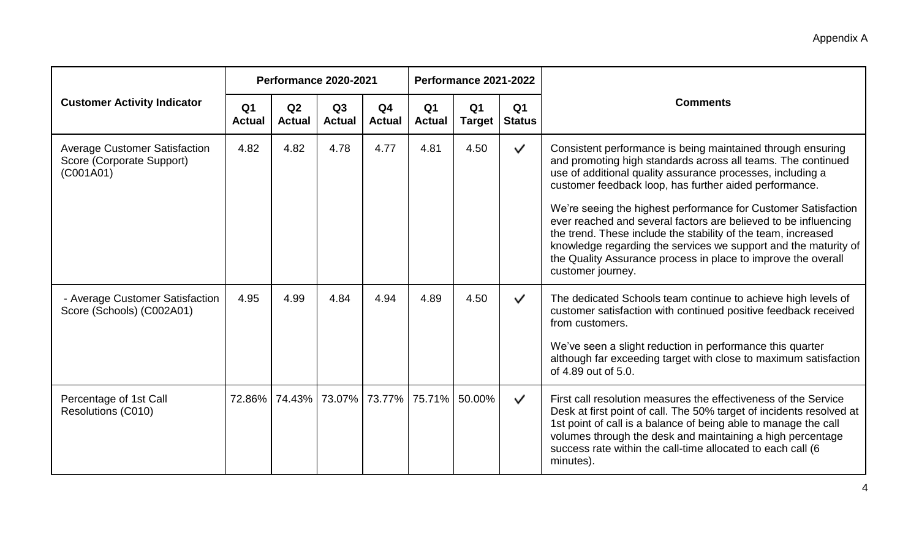|                                                                                |                                 | Performance 2020-2021                     |                     |                                 |                                 | Performance 2021-2022           |                                 |                                                                                                                                                                                                                                                                                                                                                                                                                                                                                                                                                                                               |
|--------------------------------------------------------------------------------|---------------------------------|-------------------------------------------|---------------------|---------------------------------|---------------------------------|---------------------------------|---------------------------------|-----------------------------------------------------------------------------------------------------------------------------------------------------------------------------------------------------------------------------------------------------------------------------------------------------------------------------------------------------------------------------------------------------------------------------------------------------------------------------------------------------------------------------------------------------------------------------------------------|
| <b>Customer Activity Indicator</b>                                             | Q <sub>1</sub><br><b>Actual</b> | Q2<br><b>Actual</b>                       | Q3<br><b>Actual</b> | Q <sub>4</sub><br><b>Actual</b> | Q <sub>1</sub><br><b>Actual</b> | Q <sub>1</sub><br><b>Target</b> | Q <sub>1</sub><br><b>Status</b> | <b>Comments</b>                                                                                                                                                                                                                                                                                                                                                                                                                                                                                                                                                                               |
| <b>Average Customer Satisfaction</b><br>Score (Corporate Support)<br>(C001A01) | 4.82                            | 4.82                                      | 4.78                | 4.77                            | 4.81                            | 4.50                            | $\checkmark$                    | Consistent performance is being maintained through ensuring<br>and promoting high standards across all teams. The continued<br>use of additional quality assurance processes, including a<br>customer feedback loop, has further aided performance.<br>We're seeing the highest performance for Customer Satisfaction<br>ever reached and several factors are believed to be influencing<br>the trend. These include the stability of the team, increased<br>knowledge regarding the services we support and the maturity of<br>the Quality Assurance process in place to improve the overall |
|                                                                                |                                 |                                           |                     |                                 |                                 |                                 |                                 | customer journey.                                                                                                                                                                                                                                                                                                                                                                                                                                                                                                                                                                             |
| - Average Customer Satisfaction<br>Score (Schools) (C002A01)                   | 4.95                            | 4.99                                      | 4.84                | 4.94                            | 4.89                            | 4.50                            | $\checkmark$                    | The dedicated Schools team continue to achieve high levels of<br>customer satisfaction with continued positive feedback received<br>from customers.                                                                                                                                                                                                                                                                                                                                                                                                                                           |
|                                                                                |                                 |                                           |                     |                                 |                                 |                                 |                                 | We've seen a slight reduction in performance this quarter<br>although far exceeding target with close to maximum satisfaction<br>of 4.89 out of 5.0.                                                                                                                                                                                                                                                                                                                                                                                                                                          |
| Percentage of 1st Call<br>Resolutions (C010)                                   |                                 | 72.86% 74.43% 73.07% 73.77% 75.71% 50.00% |                     |                                 |                                 |                                 | $\checkmark$                    | First call resolution measures the effectiveness of the Service<br>Desk at first point of call. The 50% target of incidents resolved at<br>1st point of call is a balance of being able to manage the call<br>volumes through the desk and maintaining a high percentage<br>success rate within the call-time allocated to each call (6<br>minutes).                                                                                                                                                                                                                                          |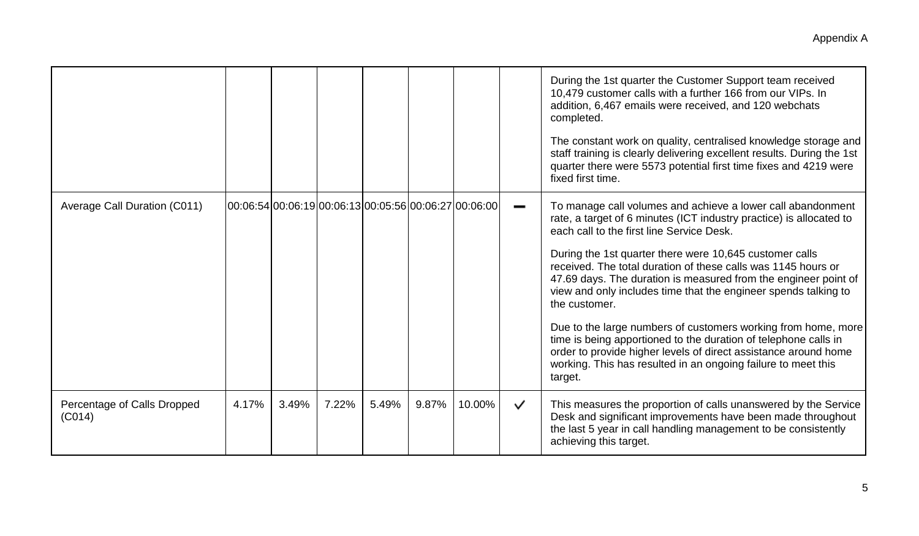|                                       |                                                       |       |       |       |       |        |              | During the 1st quarter the Customer Support team received<br>10,479 customer calls with a further 166 from our VIPs. In<br>addition, 6,467 emails were received, and 120 webchats<br>completed.                                                                                 |
|---------------------------------------|-------------------------------------------------------|-------|-------|-------|-------|--------|--------------|---------------------------------------------------------------------------------------------------------------------------------------------------------------------------------------------------------------------------------------------------------------------------------|
|                                       |                                                       |       |       |       |       |        |              | The constant work on quality, centralised knowledge storage and<br>staff training is clearly delivering excellent results. During the 1st<br>quarter there were 5573 potential first time fixes and 4219 were<br>fixed first time.                                              |
| Average Call Duration (C011)          | 00:06:54 00:06:19 00:06:13 00:05:56 00:06:27 00:06:00 |       |       |       |       |        | -            | To manage call volumes and achieve a lower call abandonment<br>rate, a target of 6 minutes (ICT industry practice) is allocated to<br>each call to the first line Service Desk.                                                                                                 |
|                                       |                                                       |       |       |       |       |        |              | During the 1st quarter there were 10,645 customer calls<br>received. The total duration of these calls was 1145 hours or<br>47.69 days. The duration is measured from the engineer point of<br>view and only includes time that the engineer spends talking to<br>the customer. |
|                                       |                                                       |       |       |       |       |        |              | Due to the large numbers of customers working from home, more<br>time is being apportioned to the duration of telephone calls in<br>order to provide higher levels of direct assistance around home<br>working. This has resulted in an ongoing failure to meet this<br>target. |
| Percentage of Calls Dropped<br>(C014) | 4.17%                                                 | 3.49% | 7.22% | 5.49% | 9.87% | 10.00% | $\checkmark$ | This measures the proportion of calls unanswered by the Service<br>Desk and significant improvements have been made throughout<br>the last 5 year in call handling management to be consistently<br>achieving this target.                                                      |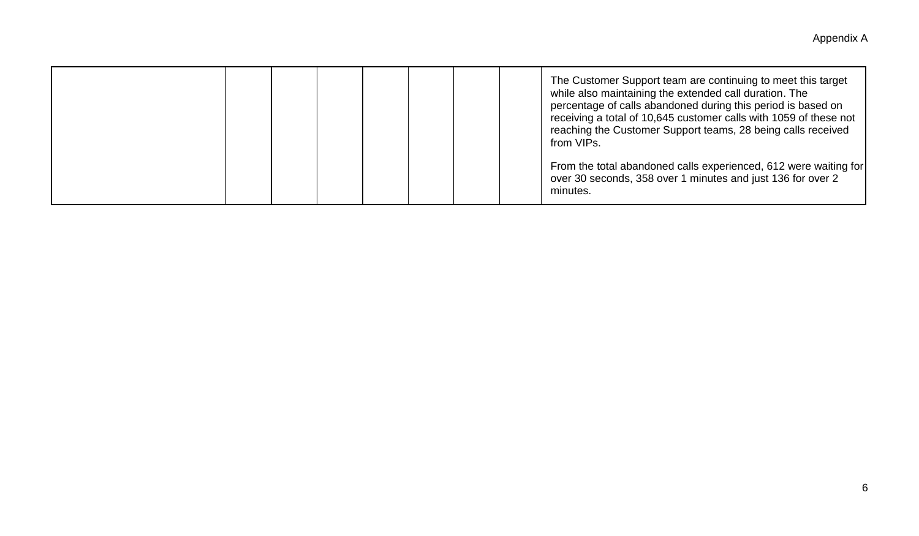|  |  |  |  | The Customer Support team are continuing to meet this target<br>while also maintaining the extended call duration. The<br>percentage of calls abandoned during this period is based on<br>receiving a total of 10,645 customer calls with 1059 of these not<br>reaching the Customer Support teams, 28 being calls received<br>from VIPs. |
|--|--|--|--|-------------------------------------------------------------------------------------------------------------------------------------------------------------------------------------------------------------------------------------------------------------------------------------------------------------------------------------------|
|  |  |  |  | From the total abandoned calls experienced, 612 were waiting for<br>over 30 seconds, 358 over 1 minutes and just 136 for over 2<br>minutes.                                                                                                                                                                                               |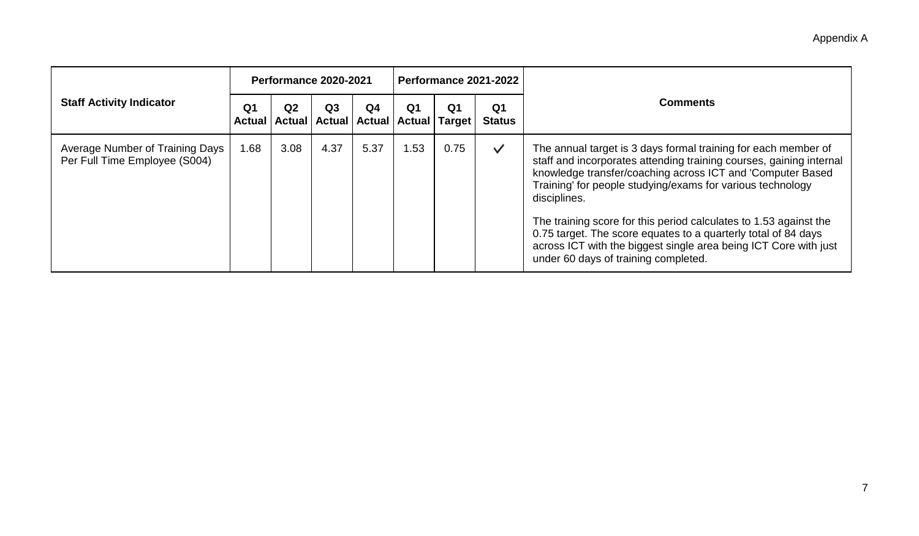|                                                                  |                                 | Performance 2020-2021 |                |                                                              |                |                | Performance 2021-2022           | <b>Comments</b>                                                                                                                                                                                                                                                                                                                                                                                                                                                                                                                      |
|------------------------------------------------------------------|---------------------------------|-----------------------|----------------|--------------------------------------------------------------|----------------|----------------|---------------------------------|--------------------------------------------------------------------------------------------------------------------------------------------------------------------------------------------------------------------------------------------------------------------------------------------------------------------------------------------------------------------------------------------------------------------------------------------------------------------------------------------------------------------------------------|
| <b>Staff Activity Indicator</b>                                  | Q <sub>1</sub><br><b>Actual</b> | Q <sub>2</sub>        | Q <sub>3</sub> | Q <sub>4</sub><br>Actual   Actual   Actual   Actual   Target | Q <sub>1</sub> | Q <sub>1</sub> | Q <sub>1</sub><br><b>Status</b> |                                                                                                                                                                                                                                                                                                                                                                                                                                                                                                                                      |
| Average Number of Training Days<br>Per Full Time Employee (S004) | 1.68                            | 3.08                  | 4.37           | 5.37                                                         | .53            | 0.75           | $\checkmark$                    | The annual target is 3 days formal training for each member of<br>staff and incorporates attending training courses, gaining internal<br>knowledge transfer/coaching across ICT and 'Computer Based<br>Training' for people studying/exams for various technology<br>disciplines.<br>The training score for this period calculates to 1.53 against the<br>0.75 target. The score equates to a quarterly total of 84 days<br>across ICT with the biggest single area being ICT Core with just<br>under 60 days of training completed. |